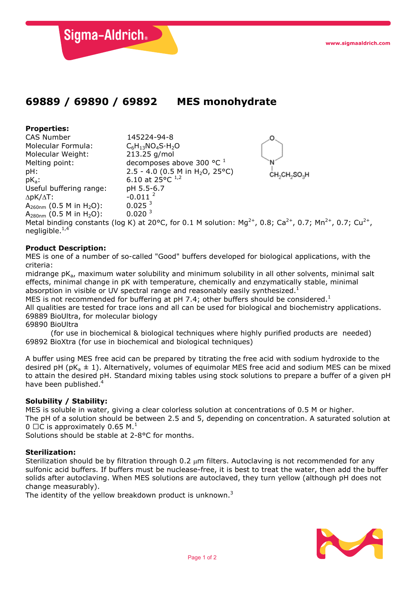Sigma-Aldrich.

## **69889 / 69890 / 69892 MES monohydrate**

# **Properties:**

negligible. $1,4$ 

CAS Number 145224-94-8<br>Molecular Formula: C6H13NO4S·H2  $C_6H_{13}NO_4S·H_2O$ <br>213.25 g/mol Molecular Weight: Melting point: decomposes above 300  $^{\circ}$ C $^{\prime}$ pH: 2.5 - 4.0 (0.5 M in H<sub>2</sub>O, 25°C)<br>pK<sub>a</sub>: 6.10 at 25°C<sup>1,2</sup> CH<sub>2</sub>SO<sub>3</sub>H 6.10 at 25 $^{\circ}$ C <sup>1,2</sup><br>pH 5.5-6.7 Useful buffering range: pH 5.5-6<br> $\triangle D K/\triangle T$ : -0.011<sup>2</sup>  $\Delta pK/\Delta T$ : -0.011<br>A<sub>260nm</sub> (0.5 M in H<sub>2</sub>O): 0.025<sup>3</sup>  $A_{260nm}$  (0.5 M in H<sub>2</sub>O): 0.025<sup>3</sup><br>A<sub>280nm</sub> (0.5 M in H<sub>2</sub>O): 0.020<sup>3</sup>  $A_{280nm}$  (0.5 M in H<sub>2</sub>O): Metal binding constants (log K) at 20°C, for 0.1 M solution: Mg<sup>2+</sup>, 0.8; Ca<sup>2+</sup>, 0.7; Mn<sup>2+</sup>, 0.7; Cu<sup>2+</sup>,

### **Product Description:**

MES is one of a number of so-called "Good" buffers developed for biological applications, with the criteria:

midrange  $pK_a$ , maximum water solubility and minimum solubility in all other solvents, minimal salt effects, minimal change in pK with temperature, chemically and enzymatically stable, minimal absorption in visible or UV spectral range and reasonably easily synthesized.<sup>1</sup>

MES is not recommended for buffering at pH 7.4; other buffers should be considered.<sup>1</sup>

All qualities are tested for trace ions and all can be used for biological and biochemistry applications. 69889 BioUltra, for molecular biology

69890 BioUltra

(for use in biochemical & biological techniques where highly purified products are needed) 69892 BioXtra (for use in biochemical and biological techniques)

A buffer using MES free acid can be prepared by titrating the free acid with sodium hydroxide to the desired pH ( $pK_a \pm 1$ ). Alternatively, volumes of equimolar MES free acid and sodium MES can be mixed to attain the desired pH. Standard mixing tables using stock solutions to prepare a buffer of a given pH have been published.<sup>4</sup>

#### **Solubility / Stability:**

MES is soluble in water, giving a clear colorless solution at concentrations of 0.5 M or higher. The pH of a solution should be between 2.5 and 5, depending on concentration. A saturated solution at  $0 \square C$  is approximately 0.65 M.<sup>1</sup>

Solutions should be stable at 2-8°C for months.

#### **Sterilization:**

Sterilization should be by filtration through  $0.2 \mu m$  filters. Autoclaving is not recommended for any sulfonic acid buffers. If buffers must be nuclease-free, it is best to treat the water, then add the buffer solids after autoclaving. When MES solutions are autoclaved, they turn yellow (although pH does not change measurably).

The identity of the yellow breakdown product is unknown.<sup>3</sup>